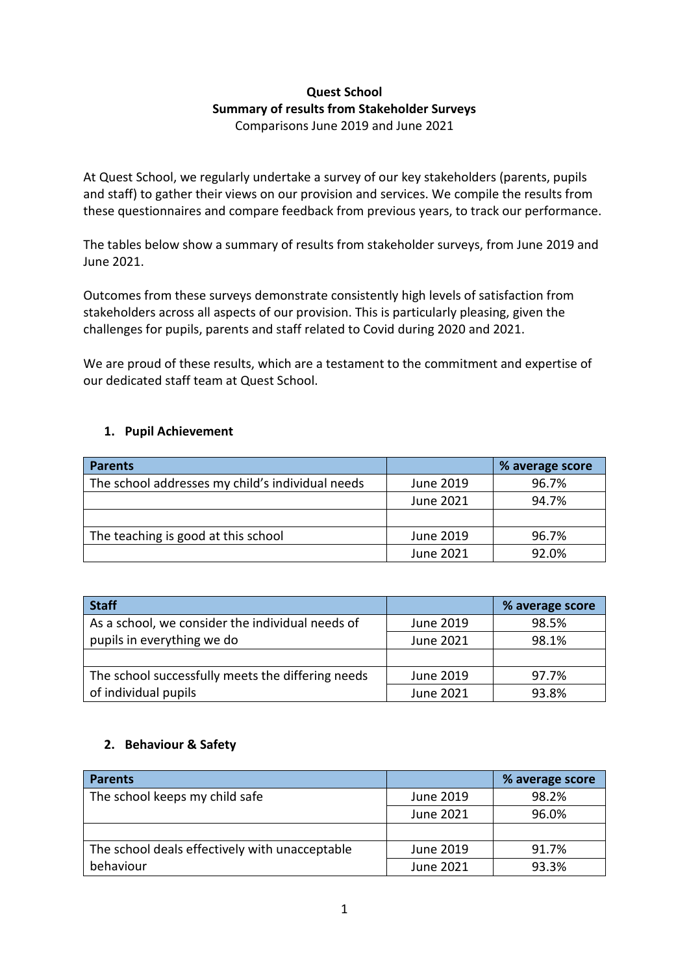## **Quest School Summary of results from Stakeholder Surveys** Comparisons June 2019 and June 2021

At Quest School, we regularly undertake a survey of our key stakeholders (parents, pupils and staff) to gather their views on our provision and services. We compile the results from these questionnaires and compare feedback from previous years, to track our performance.

The tables below show a summary of results from stakeholder surveys, from June 2019 and June 2021.

Outcomes from these surveys demonstrate consistently high levels of satisfaction from stakeholders across all aspects of our provision. This is particularly pleasing, given the challenges for pupils, parents and staff related to Covid during 2020 and 2021.

We are proud of these results, which are a testament to the commitment and expertise of our dedicated staff team at Quest School.

## **1. Pupil Achievement**

| <b>Parents</b>                                   |           | % average score |
|--------------------------------------------------|-----------|-----------------|
| The school addresses my child's individual needs | June 2019 | 96.7%           |
|                                                  | June 2021 | 94.7%           |
|                                                  |           |                 |
| The teaching is good at this school              | June 2019 | 96.7%           |
|                                                  | June 2021 | 92.0%           |

| <b>Staff</b>                                      |           | % average score |
|---------------------------------------------------|-----------|-----------------|
| As a school, we consider the individual needs of  | June 2019 | 98.5%           |
| pupils in everything we do                        | June 2021 | 98.1%           |
|                                                   |           |                 |
| The school successfully meets the differing needs | June 2019 | 97.7%           |
| of individual pupils                              | June 2021 | 93.8%           |

## **2. Behaviour & Safety**

| <b>Parents</b>                                 |           | % average score |
|------------------------------------------------|-----------|-----------------|
| The school keeps my child safe                 | June 2019 | 98.2%           |
|                                                | June 2021 | 96.0%           |
|                                                |           |                 |
| The school deals effectively with unacceptable | June 2019 | 91.7%           |
| behaviour                                      | June 2021 | 93.3%           |